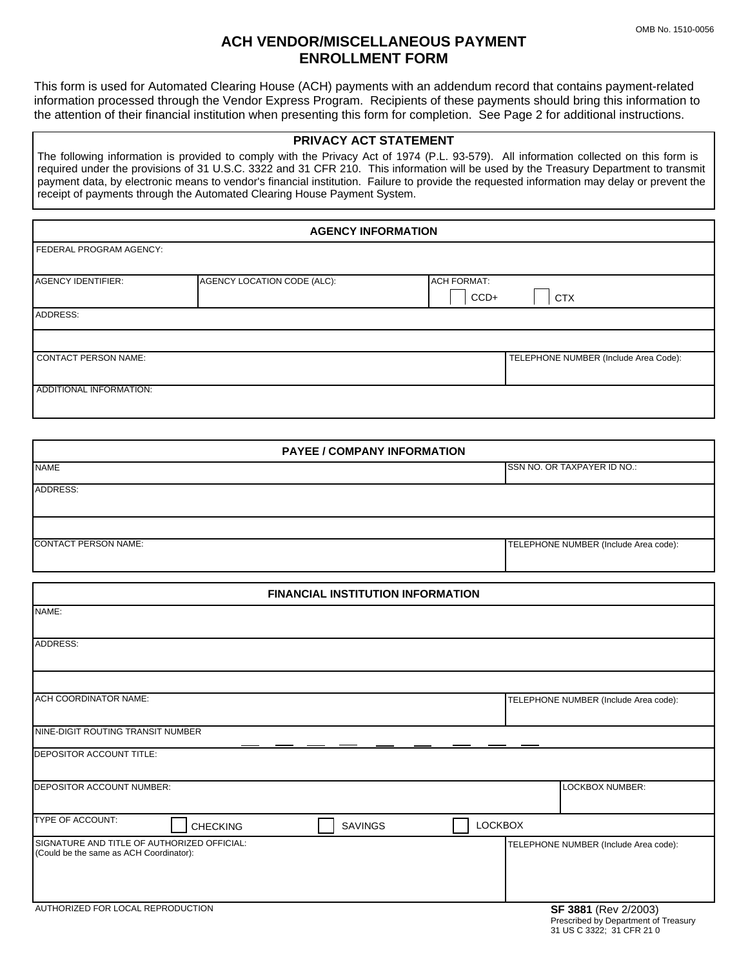## **ACH VENDOR/MISCELLANEOUS PAYMENT ENROLLMENT FORM**

This form is used for Automated Clearing House (ACH) payments with an addendum record that contains payment-related information processed through the Vendor Express Program. Recipients of these payments should bring this information to the attention of their financial institution when presenting this form for completion. See Page 2 for additional instructions.

## **PRIVACY ACT STATEMENT**

The following information is provided to comply with the Privacy Act of 1974 (P.L. 93-579). All information collected on this form is required under the provisions of 31 U.S.C. 3322 and 31 CFR 210. This information will be used by the Treasury Department to transmit payment data, by electronic means to vendor's financial institution. Failure to provide the requested information may delay or prevent the receipt of payments through the Automated Clearing House Payment System.

| <b>AGENCY INFORMATION</b>   |                             |                      |                                       |
|-----------------------------|-----------------------------|----------------------|---------------------------------------|
| FEDERAL PROGRAM AGENCY:     |                             |                      |                                       |
| <b>AGENCY IDENTIFIER:</b>   | AGENCY LOCATION CODE (ALC): | <b>ACH FORMAT:</b>   |                                       |
|                             |                             | $CCD+$<br><b>CTX</b> |                                       |
| ADDRESS:                    |                             |                      |                                       |
|                             |                             |                      |                                       |
| <b>CONTACT PERSON NAME:</b> |                             |                      | TELEPHONE NUMBER (Include Area Code): |
| ADDITIONAL INFORMATION:     |                             |                      |                                       |
|                             |                             |                      |                                       |

| <b>PAYEE / COMPANY INFORMATION</b>                                                     |                                                              |  |
|----------------------------------------------------------------------------------------|--------------------------------------------------------------|--|
| <b>NAME</b>                                                                            | SSN NO. OR TAXPAYER ID NO.:                                  |  |
| ADDRESS:                                                                               |                                                              |  |
| <b>CONTACT PERSON NAME:</b>                                                            | TELEPHONE NUMBER (Include Area code):                        |  |
|                                                                                        |                                                              |  |
| <b>FINANCIAL INSTITUTION INFORMATION</b><br>NAME:                                      |                                                              |  |
|                                                                                        |                                                              |  |
| ADDRESS:                                                                               |                                                              |  |
|                                                                                        |                                                              |  |
| <b>ACH COORDINATOR NAME:</b>                                                           | TELEPHONE NUMBER (Include Area code):                        |  |
| NINE-DIGIT ROUTING TRANSIT NUMBER                                                      |                                                              |  |
| DEPOSITOR ACCOUNT TITLE:                                                               |                                                              |  |
| <b>DEPOSITOR ACCOUNT NUMBER:</b>                                                       | <b>LOCKBOX NUMBER:</b>                                       |  |
| <b>TYPE OF ACCOUNT:</b><br><b>SAVINGS</b><br><b>CHECKING</b>                           | <b>LOCKBOX</b>                                               |  |
| SIGNATURE AND TITLE OF AUTHORIZED OFFICIAL:<br>(Could be the same as ACH Coordinator): | TELEPHONE NUMBER (Include Area code):                        |  |
| AUTHORIZED FOR LOCAL REPRODUCTION                                                      | SF 3881 (Rev 2/2003)<br>Prescribed by Department of Treasury |  |